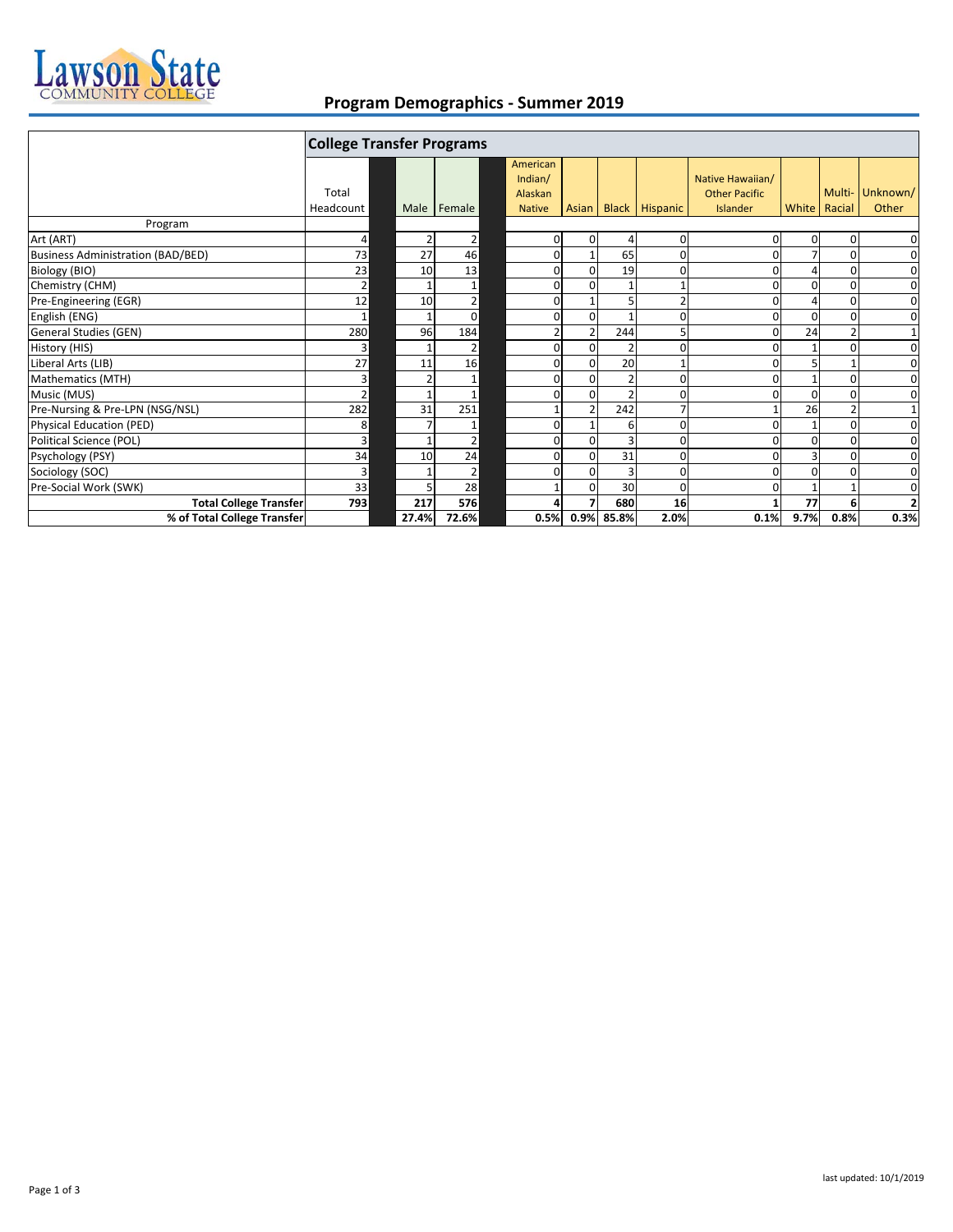

## **Program Demographics ‐ Summer 2019**

|                                          | <b>College Transfer Programs</b> |       |                |  |                                                 |                |                |                       |                                                      |          |                        |                   |
|------------------------------------------|----------------------------------|-------|----------------|--|-------------------------------------------------|----------------|----------------|-----------------------|------------------------------------------------------|----------|------------------------|-------------------|
|                                          | Total<br>Headcount               |       | Male   Female  |  | American<br>Indian/<br>Alaskan<br><b>Native</b> | <b>Asian</b>   |                | <b>Black Hispanic</b> | Native Hawaiian/<br><b>Other Pacific</b><br>Islander |          | Multi-<br>White Racial | Unknown/<br>Other |
| Program                                  |                                  |       |                |  |                                                 |                |                |                       |                                                      |          |                        |                   |
| Art (ART)                                | 4                                |       | 2              |  | $\mathbf{0}$                                    | $\overline{0}$ | 4              | 0                     |                                                      | $\Omega$ | 0                      | 0                 |
| <b>Business Administration (BAD/BED)</b> | 73                               | 27    | 46             |  | $\mathbf{0}$                                    |                | 65             | 0                     |                                                      |          | 0                      | $\mathbf 0$       |
| Biology (BIO)                            | 23                               | 10    | 13             |  | $\mathbf 0$                                     | $\Omega$       | 19             | ŋ                     |                                                      |          | O                      | $\mathbf 0$       |
| Chemistry (CHM)                          | 2 <sup>1</sup>                   |       |                |  | 0                                               | $\Omega$       |                |                       |                                                      | O        |                        | $\mathbf 0$       |
| Pre-Engineering (EGR)                    | 12                               | 10    | $\overline{2}$ |  | $\mathbf 0$                                     |                | 5              | $\overline{2}$        |                                                      |          | $\Omega$               | 0                 |
| English (ENG)                            | $\mathbf{1}$                     |       | 0              |  | 0                                               | $\Omega$       |                | ŋ                     |                                                      | O        | $\Omega$               | $\mathbf 0$       |
| <b>General Studies (GEN)</b>             | 280                              | 96    | 184            |  |                                                 |                | 244            | 5                     |                                                      | 24       |                        | 1                 |
| History (HIS)                            | 3                                |       | 2              |  | 0                                               | $\Omega$       | $\overline{2}$ | 0                     |                                                      |          | O                      | 0                 |
| Liberal Arts (LIB)                       | 27                               | 11    | 16             |  | 0                                               | $\Omega$       | 20             |                       |                                                      |          |                        | 0                 |
| Mathematics (MTH)                        | $\overline{3}$                   |       | $\mathbf{1}$   |  | 0                                               | $\overline{0}$ | $\overline{2}$ | 0                     |                                                      |          | $\Omega$               | $\mathbf 0$       |
| Music (MUS)                              | 2 <sup>1</sup>                   |       | $\mathbf{1}$   |  | 0                                               | $\Omega$       | $\mathfrak{p}$ | ŋ                     |                                                      | O        | $\Omega$               | $\mathbf 0$       |
| Pre-Nursing & Pre-LPN (NSG/NSL)          | 282                              | 31    | 251            |  |                                                 |                | 242            |                       |                                                      | 26       |                        | $1\,$             |
| Physical Education (PED)                 | 8                                |       |                |  | $\mathbf 0$                                     |                | 6              | ŋ                     |                                                      |          | O                      | 0                 |
| Political Science (POL)                  | $\overline{3}$                   |       | $\overline{2}$ |  | $\mathbf 0$                                     | 0              | 3              | ŋ                     |                                                      | $\Omega$ | $\Omega$               | 0                 |
| Psychology (PSY)                         | 34                               | 10    | 24             |  | $\Omega$                                        | $\Omega$       | 31             | 0                     |                                                      |          | $\Omega$               | 0                 |
| Sociology (SOC)                          | $\overline{\mathbf{3}}$          |       | 2              |  | 0                                               | 0              | $\overline{3}$ | 0                     |                                                      |          |                        | 0                 |
| Pre-Social Work (SWK)                    | 33                               |       | 28             |  |                                                 | $\Omega$       | 30             | 0                     |                                                      |          |                        | 0                 |
| <b>Total College Transfer</b>            | <b>793</b>                       | 217   | <b>576</b>     |  | 4                                               |                | 680            | 16                    |                                                      | 77       |                        | $\overline{2}$    |
| % of Total College Transfer              |                                  | 27.4% | 72.6%          |  | 0.5%                                            | 0.9%           | 85.8%          | 2.0%                  | 0.1%                                                 | 9.7%     | 0.8%                   | 0.3%              |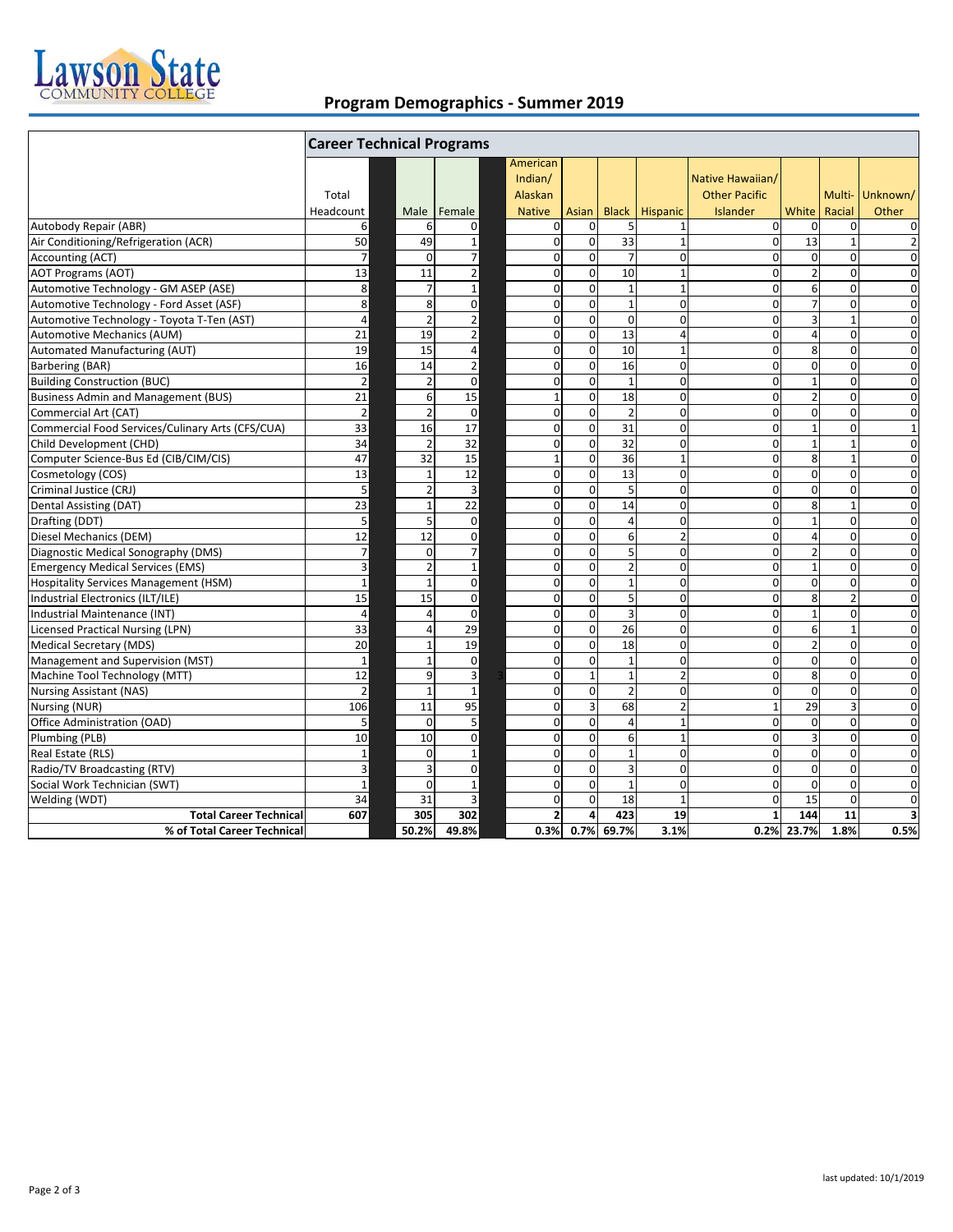

## **Program Demographics ‐ Summer 2019**

|                                                  | <b>Career Technical Programs</b> |                          |                         |                         |                |                |                |                      |                |                |                 |
|--------------------------------------------------|----------------------------------|--------------------------|-------------------------|-------------------------|----------------|----------------|----------------|----------------------|----------------|----------------|-----------------|
|                                                  |                                  |                          |                         | American                |                |                |                |                      |                |                |                 |
|                                                  |                                  |                          |                         | Indian/                 |                |                |                | Native Hawaiian/     |                |                |                 |
|                                                  | Total                            |                          |                         | Alaskan                 |                |                |                | <b>Other Pacific</b> |                |                | Multi- Unknown/ |
|                                                  | Headcount                        | Male                     | Female                  | <b>Native</b>           | Asian          | <b>Black</b>   | Hispanic       | Islander             | White          | Racial         | Other           |
| Autobody Repair (ABR)                            | 6                                | 6                        | 0                       | $\mathbf 0$             | $\mathbf 0$    | 5              | $\mathbf{1}$   | $\Omega$             | 0              | $\mathbf 0$    | $\mathbf 0$     |
| Air Conditioning/Refrigeration (ACR)             | 50                               | 49                       | $\mathbf{1}$            | $\mathbf 0$             | $\mathbf 0$    | 33             | $\mathbf{1}$   | $\Omega$             | 13             | $\mathbf{1}$   | $\overline{2}$  |
| Accounting (ACT)                                 | $\overline{7}$                   | $\Omega$                 | $\overline{7}$          | $\mathbf 0$             | $\mathbf 0$    | $\overline{7}$ | $\mathbf 0$    | $\overline{0}$       | $\mathbf 0$    | $\Omega$       | $\mathbf 0$     |
| <b>AOT Programs (AOT)</b>                        | 13                               | 11                       | $\overline{2}$          | $\mathbf 0$             | $\mathbf 0$    | 10             | $\mathbf{1}$   | $\Omega$             | $\overline{2}$ | $\mathbf{0}$   | $\mathbf 0$     |
| Automotive Technology - GM ASEP (ASE)            | 8                                | $\overline{7}$           | $\mathbf{1}$            | $\mathbf 0$             | $\mathbf 0$    | $\overline{1}$ | $\mathbf{1}$   | $\Omega$             | 6              | $\Omega$       | $\mathbf 0$     |
| Automotive Technology - Ford Asset (ASF)         | 8                                | 8                        | $\mathbf 0$             | $\mathbf 0$             | $\mathbf 0$    | $\mathbf{1}$   | $\Omega$       | $\Omega$             | $\overline{7}$ | $\mathbf 0$    | $\Omega$        |
| Automotive Technology - Toyota T-Ten (AST)       | $\overline{4}$                   | $\overline{2}$           | $\overline{\mathbf{c}}$ | $\mathbf 0$             | $\mathbf 0$    | $\mathbf 0$    | $\mathbf 0$    | $\overline{0}$       | $\overline{3}$ | $\mathbf{1}$   | $\mathbf 0$     |
| <b>Automotive Mechanics (AUM)</b>                | 21                               | 19                       | $\mathbf 2$             | $\mathbf 0$             | $\mathbf 0$    | 13             | $\overline{4}$ | $\Omega$             | $\overline{4}$ | $\Omega$       | $\mathbf 0$     |
| Automated Manufacturing (AUT)                    | 19                               | 15                       | 4                       | $\mathbf 0$             | $\mathbf 0$    | 10             | $\mathbf{1}$   | $\overline{0}$       | 8              | $\mathbf 0$    | $\mathbf 0$     |
| Barbering (BAR)                                  | 16                               | 14                       | $\overline{2}$          | $\mathbf 0$             | $\mathbf 0$    | 16             | $\Omega$       | $\Omega$             | $\mathbf 0$    | $\mathbf 0$    | $\mathbf 0$     |
| <b>Building Construction (BUC)</b>               | $\mathbf 2$                      | $\overline{2}$           | $\mathbf 0$             | $\mathbf 0$             | $\mathbf 0$    | $\mathbf{1}$   | 0              | $\overline{0}$       | $\mathbf 1$    | $\Omega$       | $\mathbf 0$     |
| <b>Business Admin and Management (BUS)</b>       | 21                               | 6                        | 15                      | $\mathbf{1}$            | $\mathbf 0$    | 18             | $\mathbf 0$    | $\Omega$             | $\overline{2}$ | $\mathbf 0$    | $\mathbf 0$     |
| Commercial Art (CAT)                             | $\overline{2}$                   | $\overline{2}$           | $\mathbf 0$             | $\mathbf 0$             | $\mathbf 0$    | $\overline{2}$ | $\mathbf 0$    | $\Omega$             | $\overline{0}$ | $\mathbf 0$    | $\mathbf 0$     |
| Commercial Food Services/Culinary Arts (CFS/CUA) | 33                               | 16                       | 17                      | $\mathbf 0$             | $\mathbf 0$    | 31             | $\Omega$       | $\Omega$             | $\mathbf{1}$   | $\mathbf 0$    | $\mathbf{1}$    |
| Child Development (CHD)                          | 34                               | $\overline{2}$           | 32                      | $\mathbf 0$             | $\mathbf 0$    | 32             | $\mathbf 0$    | $\overline{0}$       | $\mathbf 1$    | $\mathbf{1}$   | $\mathbf 0$     |
| Computer Science-Bus Ed (CIB/CIM/CIS)            | 47                               | 32                       | 15                      | $\mathbf{1}$            | $\mathbf 0$    | 36             | $\mathbf{1}$   | $\Omega$             | 8              | $\mathbf{1}$   | $\mathbf 0$     |
| Cosmetology (COS)                                | 13                               | $\overline{1}$           | 12                      | $\mathbf 0$             | $\mathbf 0$    | 13             | 0              | $\Omega$             | $\mathbf 0$    | $\mathbf 0$    | $\mathbf 0$     |
| Criminal Justice (CRJ)                           | 5                                | $\overline{2}$           | $\overline{3}$          | $\mathbf 0$             | $\mathbf 0$    | 5              | $\Omega$       | $\overline{0}$       | $\mathbf 0$    | $\mathbf 0$    | $\mathbf 0$     |
| Dental Assisting (DAT)                           | $\overline{23}$                  | $\overline{1}$           | 22                      | $\mathbf 0$             | $\mathbf 0$    | 14             | $\mathbf 0$    | $\Omega$             | 8              | $\mathbf{1}$   | $\mathbf 0$     |
| Drafting (DDT)                                   | $5\overline{)}$                  | 5                        | $\mathbf 0$             | $\mathbf 0$             | $\mathbf 0$    | $\overline{4}$ | $\mathbf 0$    | $\Omega$             | $\mathbf{1}$   | $\mathbf 0$    | $\mathbf 0$     |
| Diesel Mechanics (DEM)                           | 12                               | 12                       | $\mathbf 0$             | $\mathbf 0$             | $\mathbf 0$    | 6              | $\overline{2}$ | $\Omega$             | $\overline{4}$ | $\Omega$       | $\mathbf 0$     |
| Diagnostic Medical Sonography (DMS)              | $\overline{7}$                   | $\Omega$                 | $\overline{7}$          | $\mathbf 0$             | $\mathbf 0$    | 5              | $\mathbf 0$    | $\Omega$             | $\overline{2}$ | $\mathbf 0$    | $\mathbf 0$     |
| <b>Emergency Medical Services (EMS)</b>          | $\overline{3}$                   | $\overline{\phantom{0}}$ | $\mathbf 1$             | $\overline{0}$          | $\mathbf 0$    | $\overline{2}$ | $\mathbf 0$    | $\Omega$             | $\mathbf 1$    | $\mathbf{0}$   | $\mathbf 0$     |
| <b>Hospitality Services Management (HSM)</b>     | $\mathbf{1}$                     | $\overline{1}$           | $\mathbf 0$             | $\mathbf 0$             | $\mathbf 0$    | $\mathbf{1}$   | $\mathbf 0$    | $\Omega$             | $\mathbf 0$    | $\Omega$       | $\mathbf 0$     |
| Industrial Electronics (ILT/ILE)                 | 15                               | 15                       | $\mathbf 0$             | $\mathbf 0$             | $\mathbf 0$    | 5              | $\mathbf 0$    | $\Omega$             | 8              | $\overline{2}$ | $\mathbf 0$     |
| Industrial Maintenance (INT)                     | $\overline{4}$                   | $\Delta$                 | $\overline{0}$          | $\mathbf 0$             | $\mathbf 0$    | $\overline{3}$ | $\mathbf 0$    | $\Omega$             | $\mathbf{1}$   | $\Omega$       | $\mathbf 0$     |
| <b>Licensed Practical Nursing (LPN)</b>          | 33                               | 4                        | $\overline{29}$         | $\mathbf 0$             | $\mathbf 0$    | 26             | $\mathbf 0$    | $\overline{0}$       | 6              | $\mathbf{1}$   | $\mathbf 0$     |
| <b>Medical Secretary (MDS)</b>                   | 20                               | $\mathbf{1}$             | 19                      | $\mathbf 0$             | $\mathbf 0$    | 18             | $\mathbf 0$    | $\Omega$             | $\overline{2}$ | $\mathbf{0}$   | $\mathbf 0$     |
| Management and Supervision (MST)                 | $\mathbf 1$                      | $\overline{1}$           | $\mathbf 0$             | $\mathbf 0$             | $\mathbf 0$    | $\mathbf{1}$   | $\mathbf 0$    | $\Omega$             | $\mathbf 0$    | $\mathbf 0$    | $\mathbf 0$     |
| Machine Tool Technology (MTT)                    | 12                               | $\mathbf{q}$             | 3                       | $\mathbf 0$             | $\mathbf{1}$   | $\mathbf{1}$   | $\overline{2}$ | $\Omega$             | 8              | $\Omega$       | $\mathbf 0$     |
| <b>Nursing Assistant (NAS)</b>                   | $\overline{2}$                   | $\overline{1}$           | $\mathbf{1}$            | $\mathbf 0$             | $\mathbf 0$    | $\overline{2}$ | $\mathbf 0$    | $\Omega$             | $\overline{0}$ | $\mathbf 0$    | $\mathbf 0$     |
| Nursing (NUR)                                    | 106                              | 11                       | 95                      | $\mathbf 0$             | $\overline{3}$ | 68             | $\overline{2}$ | $\mathbf{1}$         | 29             | $\overline{3}$ | $\overline{0}$  |
| Office Administration (OAD)                      | 5                                | $\Omega$                 | 5                       | $\mathbf 0$             | $\mathbf 0$    | $\overline{4}$ | $\mathbf{1}$   | $\overline{0}$       | $\mathbf 0$    | $\mathbf 0$    | $\mathbf 0$     |
| Plumbing (PLB)                                   | 10                               | 10                       | $\mathbf 0$             | $\mathbf 0$             | $\mathbf 0$    | 6              | $\mathbf{1}$   | $\Omega$             | $\overline{3}$ | $\Omega$       | $\mathbf 0$     |
| Real Estate (RLS)                                | $\mathbf 1$                      | $\Omega$                 | $\mathbf 1$             | $\mathbf 0$             | $\mathbf 0$    | $\mathbf{1}$   | $\mathbf 0$    | $\mathbf{0}$         | $\mathbf 0$    | $\mathbf 0$    | $\mathbf 0$     |
| Radio/TV Broadcasting (RTV)                      | 3                                | 3                        | $\mathbf 0$             | $\mathbf 0$             | $\mathbf 0$    | $\overline{3}$ | $\mathbf 0$    | $\Omega$             | $\mathbf 0$    | $\mathbf 0$    | $\mathbf 0$     |
| Social Work Technician (SWT)                     | $\mathbf{1}$                     | $\Omega$                 | $\mathbf{1}$            | $\mathbf 0$             | $\mathbf 0$    | $\mathbf{1}$   | $\mathbf 0$    | $\overline{0}$       | $\mathbf 0$    | $\mathbf{0}$   | $\mathbf 0$     |
| Welding (WDT)                                    | $\overline{34}$                  | 31                       | 3                       | $\mathbf 0$             | $\mathbf 0$    | 18             | $\mathbf{1}$   | $\Omega$             | 15             | $\Omega$       | $\mathbf 0$     |
| <b>Total Career Technical</b>                    | 607                              | 305                      | 302                     | $\overline{\mathbf{2}}$ | 4              | 423            | 19             | $\mathbf{1}$         | 144            | 11             | 3               |
| % of Total Career Technical                      |                                  | 50.2%                    | 49.8%                   | 0.3%                    | 0.7%           | 69.7%          | 3.1%           | 0.2%                 | 23.7%          | 1.8%           | 0.5%            |
|                                                  |                                  |                          |                         |                         |                |                |                |                      |                |                |                 |